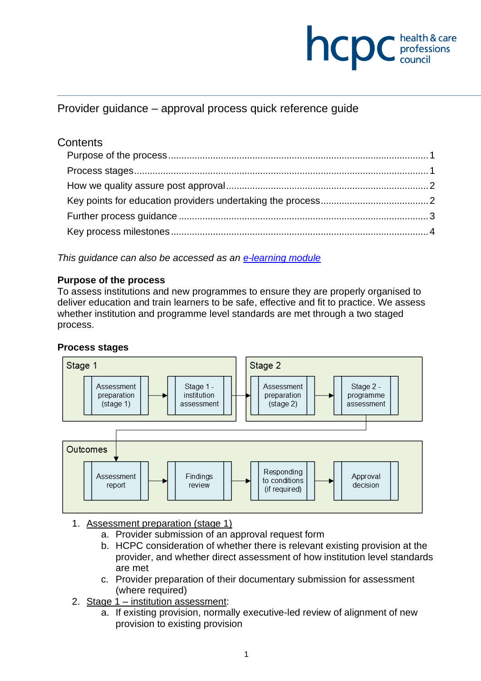

Provider guidance – approval process quick reference guide

# **Contents**

*This guidance can also be accessed as an [e-learning module](https://rise.articulate.com/share/ERAHzFpS6gJNAM3_R1L-AM4wp0FUPEHb)*

#### <span id="page-0-0"></span>**Purpose of the process**

To assess institutions and new programmes to ensure they are properly organised to deliver education and train learners to be safe, effective and fit to practice. We assess whether institution and programme level standards are met through a two staged process.

#### <span id="page-0-1"></span>**Process stages**



- 1. Assessment preparation (stage 1)
	- a. Provider submission of an approval request form
	- b. HCPC consideration of whether there is relevant existing provision at the provider, and whether direct assessment of how institution level standards are met
	- c. Provider preparation of their documentary submission for assessment (where required)
- 2. Stage 1 institution assessment:
	- a. If existing provision, normally executive-led review of alignment of new provision to existing provision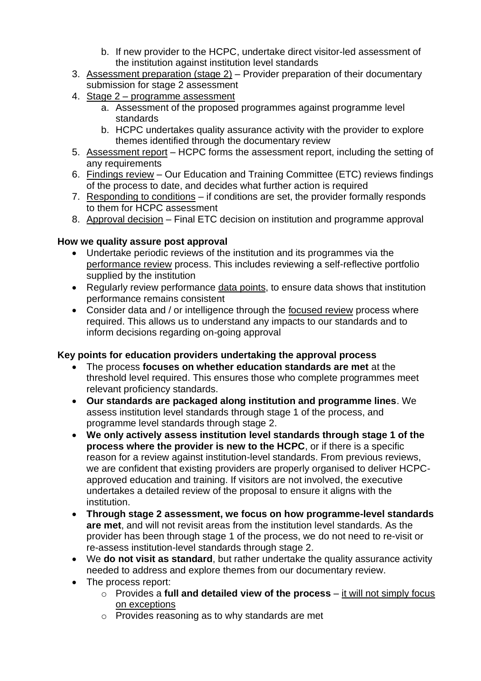- b. If new provider to the HCPC, undertake direct visitor-led assessment of the institution against institution level standards
- 3. Assessment preparation (stage 2) Provider preparation of their documentary submission for stage 2 assessment
- 4. Stage 2 programme assessment
	- a. Assessment of the proposed programmes against programme level standards
	- b. HCPC undertakes quality assurance activity with the provider to explore themes identified through the documentary review
- 5. Assessment report HCPC forms the assessment report, including the setting of any requirements
- 6. Findings review Our Education and Training Committee (ETC) reviews findings of the process to date, and decides what further action is required
- 7. Responding to conditions if conditions are set, the provider formally responds to them for HCPC assessment
- 8. Approval decision Final ETC decision on institution and programme approval

## <span id="page-1-0"></span>**How we quality assure post approval**

- Undertake periodic reviews of the institution and its programmes via the performance review process. This includes reviewing a self-reflective portfolio supplied by the institution
- Regularly review performance data points, to ensure data shows that institution performance remains consistent
- Consider data and / or intelligence through the focused review process where required. This allows us to understand any impacts to our standards and to inform decisions regarding on-going approval

## <span id="page-1-1"></span>**Key points for education providers undertaking the approval process**

- The process **focuses on whether education standards are met** at the threshold level required. This ensures those who complete programmes meet relevant proficiency standards.
- **Our standards are packaged along institution and programme lines**. We assess institution level standards through stage 1 of the process, and programme level standards through stage 2.
- **We only actively assess institution level standards through stage 1 of the process where the provider is new to the HCPC**, or if there is a specific reason for a review against institution-level standards. From previous reviews, we are confident that existing providers are properly organised to deliver HCPCapproved education and training. If visitors are not involved, the executive undertakes a detailed review of the proposal to ensure it aligns with the institution.
- **Through stage 2 assessment, we focus on how programme-level standards are met**, and will not revisit areas from the institution level standards. As the provider has been through stage 1 of the process, we do not need to re-visit or re-assess institution-level standards through stage 2.
- We **do not visit as standard**, but rather undertake the quality assurance activity needed to address and explore themes from our documentary review.
- The process report:
	- o Provides a **full and detailed view of the process** it will not simply focus on exceptions
	- o Provides reasoning as to why standards are met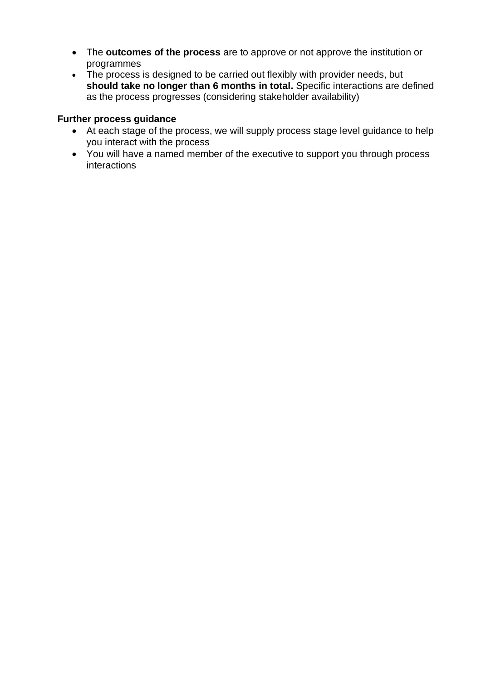- The **outcomes of the process** are to approve or not approve the institution or programmes
- The process is designed to be carried out flexibly with provider needs, but **should take no longer than 6 months in total.** Specific interactions are defined as the process progresses (considering stakeholder availability)

### <span id="page-2-0"></span>**Further process guidance**

- At each stage of the process, we will supply process stage level guidance to help you interact with the process
- You will have a named member of the executive to support you through process interactions